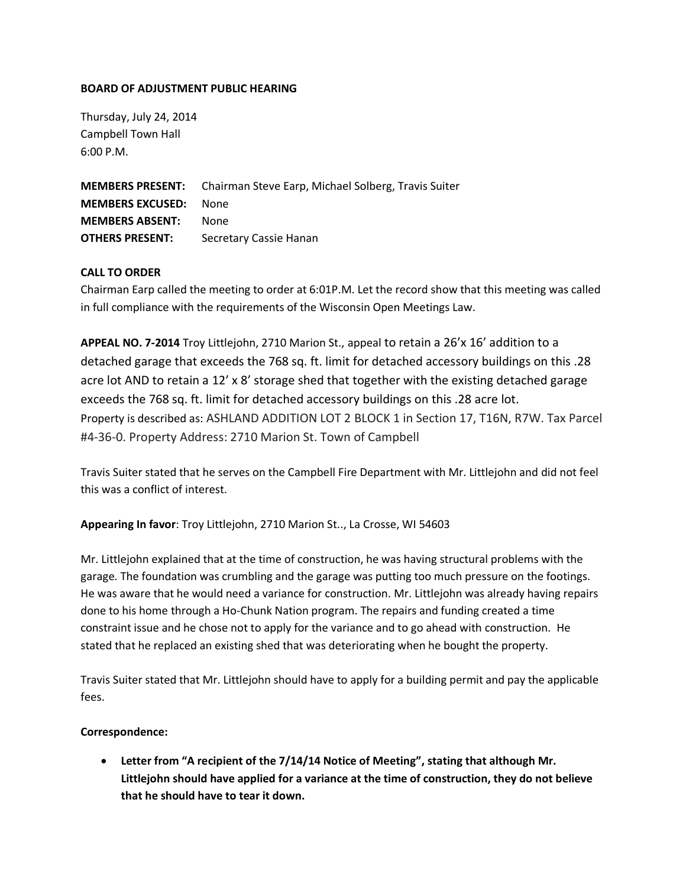## **BOARD OF ADJUSTMENT PUBLIC HEARING**

Thursday, July 24, 2014 Campbell Town Hall 6:00 P.M.

**MEMBERS PRESENT:** Chairman Steve Earp, Michael Solberg, Travis Suiter **MEMBERS EXCUSED:** None **MEMBERS ABSENT:** None **OTHERS PRESENT:** Secretary Cassie Hanan

## **CALL TO ORDER**

Chairman Earp called the meeting to order at 6:01P.M. Let the record show that this meeting was called in full compliance with the requirements of the Wisconsin Open Meetings Law.

**APPEAL NO. 7-2014** Troy Littlejohn, 2710 Marion St., appeal to retain a 26'x 16' addition to a detached garage that exceeds the 768 sq. ft. limit for detached accessory buildings on this .28 acre lot AND to retain a 12' x 8' storage shed that together with the existing detached garage exceeds the 768 sq. ft. limit for detached accessory buildings on this .28 acre lot. Property is described as: ASHLAND ADDITION LOT 2 BLOCK 1 in Section 17, T16N, R7W. Tax Parcel #4-36-0. Property Address: 2710 Marion St. Town of Campbell

Travis Suiter stated that he serves on the Campbell Fire Department with Mr. Littlejohn and did not feel this was a conflict of interest.

**Appearing In favor**: Troy Littlejohn, 2710 Marion St.., La Crosse, WI 54603

Mr. Littlejohn explained that at the time of construction, he was having structural problems with the garage. The foundation was crumbling and the garage was putting too much pressure on the footings. He was aware that he would need a variance for construction. Mr. Littlejohn was already having repairs done to his home through a Ho-Chunk Nation program. The repairs and funding created a time constraint issue and he chose not to apply for the variance and to go ahead with construction. He stated that he replaced an existing shed that was deteriorating when he bought the property.

Travis Suiter stated that Mr. Littlejohn should have to apply for a building permit and pay the applicable fees.

## **Correspondence:**

 **Letter from "A recipient of the 7/14/14 Notice of Meeting", stating that although Mr. Littlejohn should have applied for a variance at the time of construction, they do not believe that he should have to tear it down.**